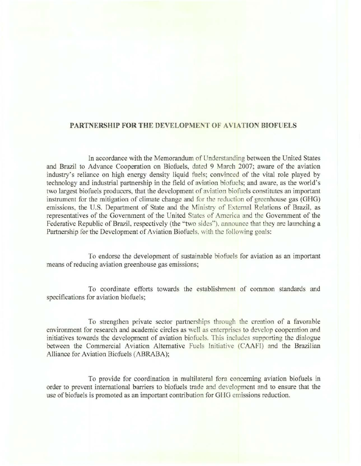## **PARTNERSHIP FOR THE DEVELOPMENT OF AVIATION BIOFUELS**

In accordance with the Memorandum of Understanding between the United States and Brazil to Advance Cooperation on Biofuels, dated 9 March 2007; aware of the aviation industry's reliance on high energy density liquid fuels; convinced of the vital role played by technology and industrial partnership in the field of aviation biofucls; and aware, as the world's two largest biofuels producers, that the development of aviation biofuels constitutes an important instrument for the mitigation of climate change and for the reduction of greenhouse gas (GHG) emissions, the U.S. Department of State and the Ministry of External Relations of Brazil, as representatives of the Government of the United States of America and the Government of the Federative Republic of Brazil, respectively (the "two sides"), announce that they are launching a Partnership for the Development of Aviation Biofuels, with the following goals:

To endorse the development of sustainable biofuels for aviation as an important means of reducing aviation greenhouse gas emissions;

To coordinate efforts towards the establishment of common standards and specifications for aviation biofuels;

To strengthen private sector partnerships through the creation of a favorable environment for research and academic circles as well as enterprises to develop cooperation and initiatives towards the development of aviation biofuels. This includes supporting the dialogue between the Commercial Aviation Alternative Fuels Initiative (CAAFI) and the Brazilian Alliance for Aviation Biofuels (ABRABA);

To provide for coordination in multilateral fora concerning aviation biofuels in order to prevent international barriers to biofuels trade and development and to ensure that the use of biofuels is promoted as an important contribution for GHG emissions reduction.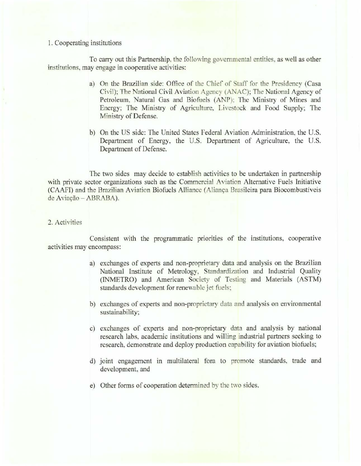## 1. Cooperating institutions

To carry out this Partnership. the following governmental entities, as well as other institutions, may engage in cooperative activities:

- a) On the Brazilian side: Office of the Chier of Staff for the Presidency (Casa Civil); The National Civil Aviation Agency (ANAC); The National Agency of Petroleum, Natural Gas and Biofuels (ANP); The Ministry of Mines and Energy; The Ministry of Agriculture, Livestock and Food Supply; The Ministry of Defense.
- b) On the US side: The United States Federal Aviation Administration, the U.S. Department of Energy, the U.S. Department of Agriculture, the U.S. Department of Defense.

The two sides may decide to establish activities to be undertaken in partnership with private sector organizations such as the Commercial Aviation Alternative Fuels Initiative (CAAFI) and the Brazilian Aviation Biofuels Alliance (Alianca Brasileira para Biocombustiveis de Aviação – ABRABA).

## 2. Activities

Consistent with the programmatic priorities of the institutions, cooperative activities may encompass:

- a) exchanges of experts and non-proprietary data and analysis on the Brazilian National Institute of Metrology, Standardization and Industrial Quality (INMETRO) and American Society of Testing and Materials (ASTM) standards development for renewable jet fuels;
- b) exchanges of experts and non-proprietary data and analysis on environmental sustainability;
- c) exchanges of experts and non-proprietary data and analysis by national research labs, academic institutions and willing industrial partners seeking to research, demonstrate and deploy production capability for aviation biofuels;
- d) joint engagement in multilateral fora to promote standards, trade and development, and
- e) Other forms of cooperation determined by the two sides.